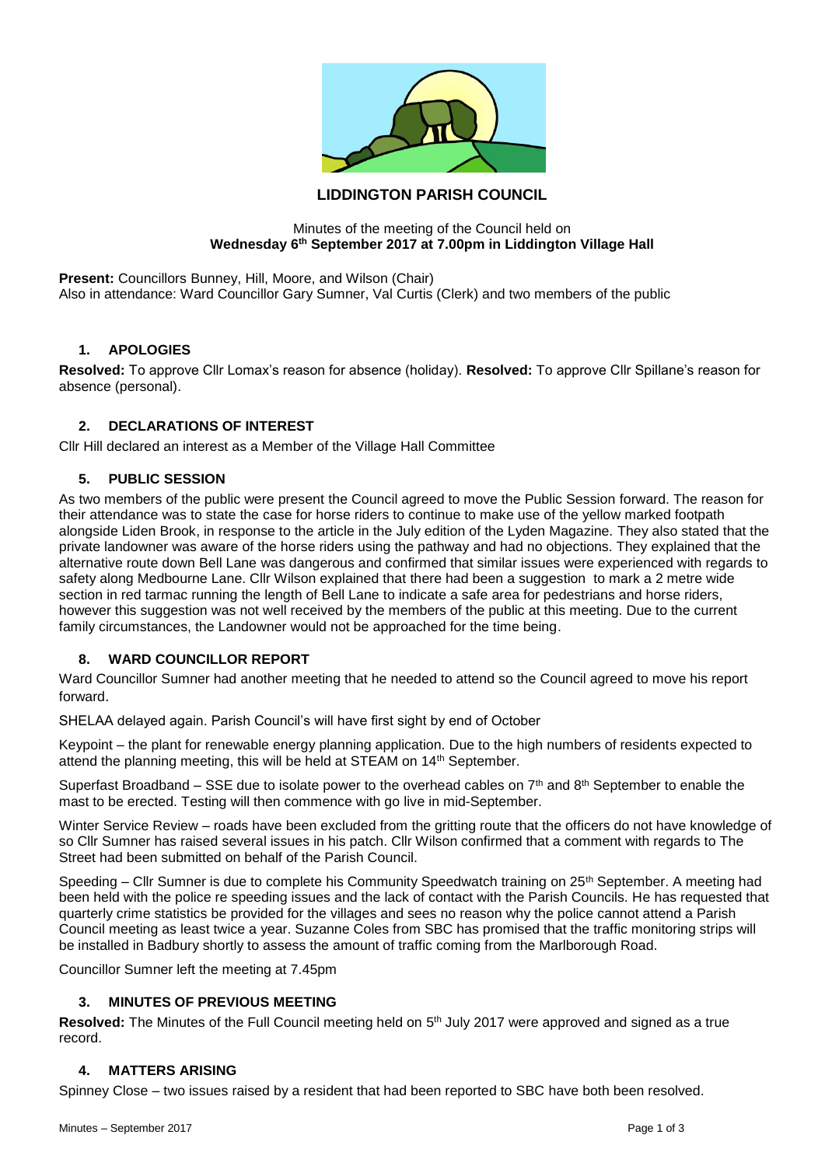

# **LIDDINGTON PARISH COUNCIL**

#### Minutes of the meeting of the Council held on **Wednesday 6th September 2017 at 7.00pm in Liddington Village Hall**

**Present:** Councillors Bunney, Hill, Moore, and Wilson (Chair) Also in attendance: Ward Councillor Gary Sumner, Val Curtis (Clerk) and two members of the public

#### **1. APOLOGIES**

**Resolved:** To approve Cllr Lomax's reason for absence (holiday). **Resolved:** To approve Cllr Spillane's reason for absence (personal).

### **2. DECLARATIONS OF INTEREST**

Cllr Hill declared an interest as a Member of the Village Hall Committee

### **5. PUBLIC SESSION**

As two members of the public were present the Council agreed to move the Public Session forward. The reason for their attendance was to state the case for horse riders to continue to make use of the yellow marked footpath alongside Liden Brook, in response to the article in the July edition of the Lyden Magazine. They also stated that the private landowner was aware of the horse riders using the pathway and had no objections. They explained that the alternative route down Bell Lane was dangerous and confirmed that similar issues were experienced with regards to safety along Medbourne Lane. Cllr Wilson explained that there had been a suggestion to mark a 2 metre wide section in red tarmac running the length of Bell Lane to indicate a safe area for pedestrians and horse riders, however this suggestion was not well received by the members of the public at this meeting. Due to the current family circumstances, the Landowner would not be approached for the time being.

## **8. WARD COUNCILLOR REPORT**

Ward Councillor Sumner had another meeting that he needed to attend so the Council agreed to move his report forward.

SHELAA delayed again. Parish Council's will have first sight by end of October

Keypoint – the plant for renewable energy planning application. Due to the high numbers of residents expected to attend the planning meeting, this will be held at STEAM on 14<sup>th</sup> September.

Superfast Broadband – SSE due to isolate power to the overhead cables on  $7<sup>th</sup>$  and  $8<sup>th</sup>$  September to enable the mast to be erected. Testing will then commence with go live in mid-September.

Winter Service Review – roads have been excluded from the gritting route that the officers do not have knowledge of so Cllr Sumner has raised several issues in his patch. Cllr Wilson confirmed that a comment with regards to The Street had been submitted on behalf of the Parish Council.

Speeding – Cllr Sumner is due to complete his Community Speedwatch training on 25<sup>th</sup> September. A meeting had been held with the police re speeding issues and the lack of contact with the Parish Councils. He has requested that quarterly crime statistics be provided for the villages and sees no reason why the police cannot attend a Parish Council meeting as least twice a year. Suzanne Coles from SBC has promised that the traffic monitoring strips will be installed in Badbury shortly to assess the amount of traffic coming from the Marlborough Road.

Councillor Sumner left the meeting at 7.45pm

#### **3. MINUTES OF PREVIOUS MEETING**

Resolved: The Minutes of the Full Council meeting held on 5<sup>th</sup> July 2017 were approved and signed as a true record.

#### **4. MATTERS ARISING**

Spinney Close – two issues raised by a resident that had been reported to SBC have both been resolved.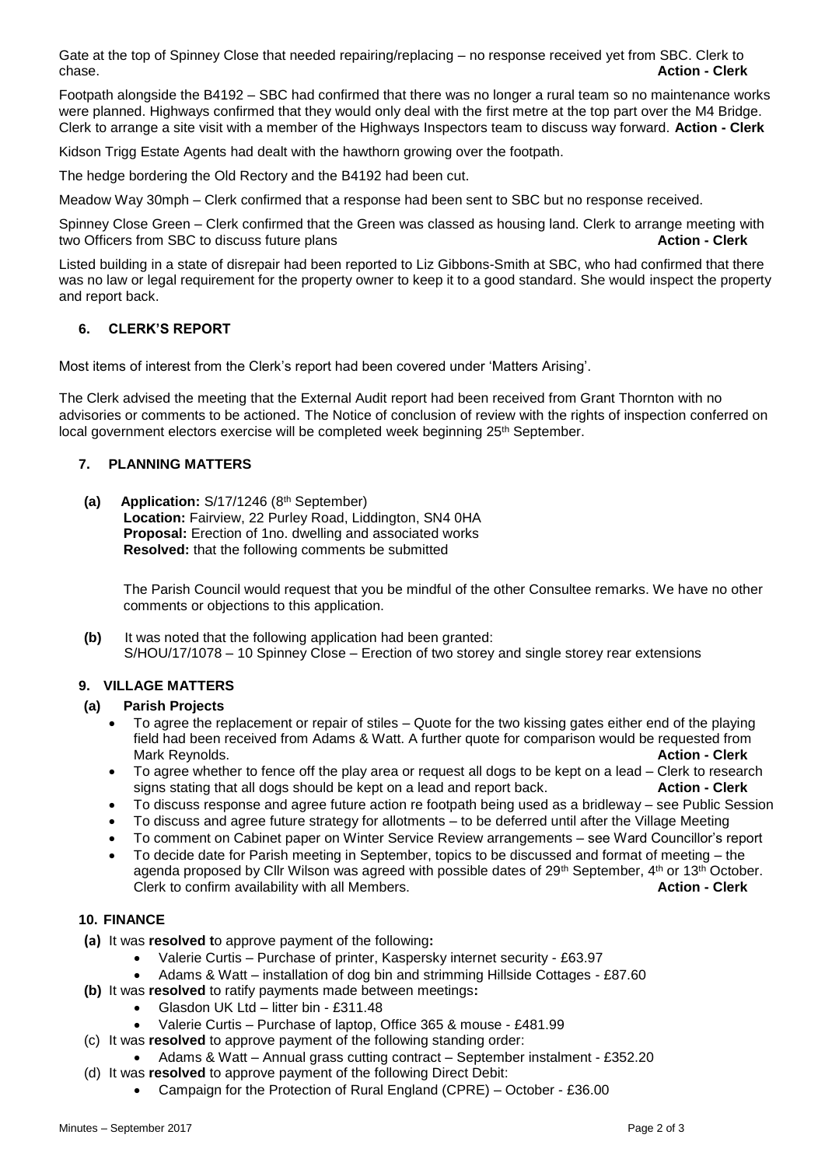Gate at the top of Spinney Close that needed repairing/replacing – no response received yet from SBC. Clerk to chase. **Action - Clerk**

Footpath alongside the B4192 – SBC had confirmed that there was no longer a rural team so no maintenance works were planned. Highways confirmed that they would only deal with the first metre at the top part over the M4 Bridge. Clerk to arrange a site visit with a member of the Highways Inspectors team to discuss way forward. **Action - Clerk**

Kidson Trigg Estate Agents had dealt with the hawthorn growing over the footpath.

The hedge bordering the Old Rectory and the B4192 had been cut.

Meadow Way 30mph – Clerk confirmed that a response had been sent to SBC but no response received.

Spinney Close Green – Clerk confirmed that the Green was classed as housing land. Clerk to arrange meeting with two Officers from SBC to discuss future plans **Action - Clerk**

Listed building in a state of disrepair had been reported to Liz Gibbons-Smith at SBC, who had confirmed that there was no law or legal requirement for the property owner to keep it to a good standard. She would inspect the property and report back.

## **6. CLERK'S REPORT**

Most items of interest from the Clerk's report had been covered under 'Matters Arising'.

The Clerk advised the meeting that the External Audit report had been received from Grant Thornton with no advisories or comments to be actioned. The Notice of conclusion of review with the rights of inspection conferred on local government electors exercise will be completed week beginning 25<sup>th</sup> September.

## **7. PLANNING MATTERS**

(a) Application: S/17/1246 (8<sup>th</sup> September) **Location:** Fairview, 22 Purley Road, Liddington, SN4 0HA **Proposal:** Erection of 1no. dwelling and associated works **Resolved:** that the following comments be submitted

The Parish Council would request that you be mindful of the other Consultee remarks. We have no other comments or objections to this application.

**(b)** It was noted that the following application had been granted: S/HOU/17/1078 – 10 Spinney Close – Erection of two storey and single storey rear extensions

## **9. VILLAGE MATTERS**

## **(a) Parish Projects**

- To agree the replacement or repair of stiles Quote for the two kissing gates either end of the playing field had been received from Adams & Watt. A further quote for comparison would be requested from Mark Reynolds. **Action - Clerk**
- To agree whether to fence off the play area or request all dogs to be kept on a lead Clerk to research signs stating that all dogs should be kept on a lead and report back. **Action - Clerk**
- To discuss response and agree future action re footpath being used as a bridleway see Public Session
- To discuss and agree future strategy for allotments to be deferred until after the Village Meeting
- To comment on Cabinet paper on Winter Service Review arrangements see Ward Councillor's report
- To decide date for Parish meeting in September, topics to be discussed and format of meeting the agenda proposed by Cllr Wilson was agreed with possible dates of  $29<sup>th</sup>$  September,  $4<sup>th</sup>$  or  $13<sup>th</sup>$  October. Clerk to confirm availability with all Members. **Action - Clerk**

## **10. FINANCE**

- **(a)** It was **resolved t**o approve payment of the following**:**
	- Valerie Curtis Purchase of printer, Kaspersky internet security £63.97
	- Adams & Watt installation of dog bin and strimming Hillside Cottages £87.60
- **(b)** It was **resolved** to ratify payments made between meetings**:**
	- Glasdon UK Ltd litter bin £311.48
	- Valerie Curtis Purchase of laptop, Office 365 & mouse £481.99
- (c) It was **resolved** to approve payment of the following standing order:
	- Adams & Watt Annual grass cutting contract September instalment £352.20
- (d) It was **resolved** to approve payment of the following Direct Debit:
	- Campaign for the Protection of Rural England (CPRE) October £36.00